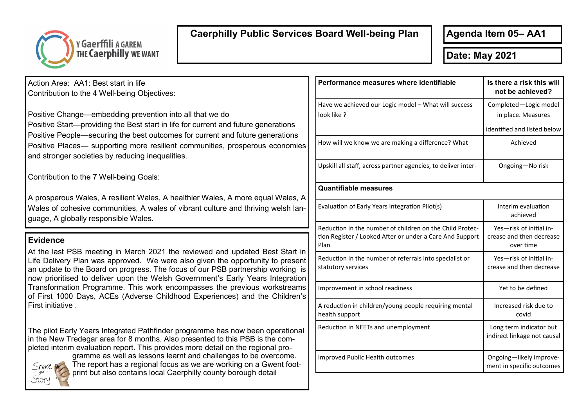

## **Caerphilly Public Services Board Well-being Plan**

**Agenda Item 05– AA1**

**Date: May 2021** 

Action Area: AA1: Best start in life Contribution to the 4 Well-being Objectives:

Positive Change—embedding prevention into all that we do Positive Start—providing the Best start in life for current and future generations Positive People—securing the best outcomes for current and future generations Positive Places— supporting more resilient communities, prosperous economies and stronger societies by reducing inequalities.

Contribution to the 7 Well-being Goals:

A prosperous Wales, A resilient Wales, A healthier Wales, A more equal Wales, A Wales of cohesive communities, A wales of vibrant culture and thriving welsh language, A globally responsible Wales.

## **Evidence**

At the last PSB meeting in March 2021 the reviewed and updated Best Start in Life Delivery Plan was approved. We were also given the opportunity to present an update to the Board on progress. The focus of our PSB partnership working is now prioritised to deliver upon the Welsh Government's Early Years Integration Transformation Programme. This work encompasses the previous workstreams of First 1000 Days, ACEs (Adverse Childhood Experiences) and the Children's First initiative .

The pilot Early Years Integrated Pathfinder programme has now been operational in the New Tredegar area for 8 months. Also presented to this PSB is the completed interim evaluation report. This provides more detail on the regional pro-



gramme as well as lessons learnt and challenges to be overcome. The report has a regional focus as we are working on a Gwent footprint but also contains local Caerphilly county borough detail

| Performance measures where identifiable                                                                                      | Is there a risk this will<br>not be achieved?                    |  |
|------------------------------------------------------------------------------------------------------------------------------|------------------------------------------------------------------|--|
| Have we achieved our Logic model - What will success<br>look like ?                                                          | Completed-Logic model<br>in place. Measures                      |  |
|                                                                                                                              | identified and listed below                                      |  |
| How will we know we are making a difference? What                                                                            | Achieved                                                         |  |
| Upskill all staff, across partner agencies, to deliver inter-                                                                | Ongoing-No risk                                                  |  |
| <b>Quantifiable measures</b>                                                                                                 |                                                                  |  |
| Evaluation of Early Years Integration Pilot(s)                                                                               | Interim evaluation<br>achieved                                   |  |
| Reduction in the number of children on the Child Protec-<br>tion Register / Looked After or under a Care And Support<br>Plan | Yes-risk of initial in-<br>crease and then decrease<br>over time |  |
| Reduction in the number of referrals into specialist or<br>statutory services                                                | Yes-risk of initial in-<br>crease and then decrease              |  |
| Improvement in school readiness                                                                                              | Yet to be defined                                                |  |
| A reduction in children/young people requiring mental<br>health support                                                      | Increased risk due to<br>covid                                   |  |
| Reduction in NEETs and unemployment                                                                                          | Long term indicator but<br>indirect linkage not causal           |  |
| <b>Improved Public Health outcomes</b>                                                                                       | Ongoing-likely improve-<br>ment in specific outcomes             |  |